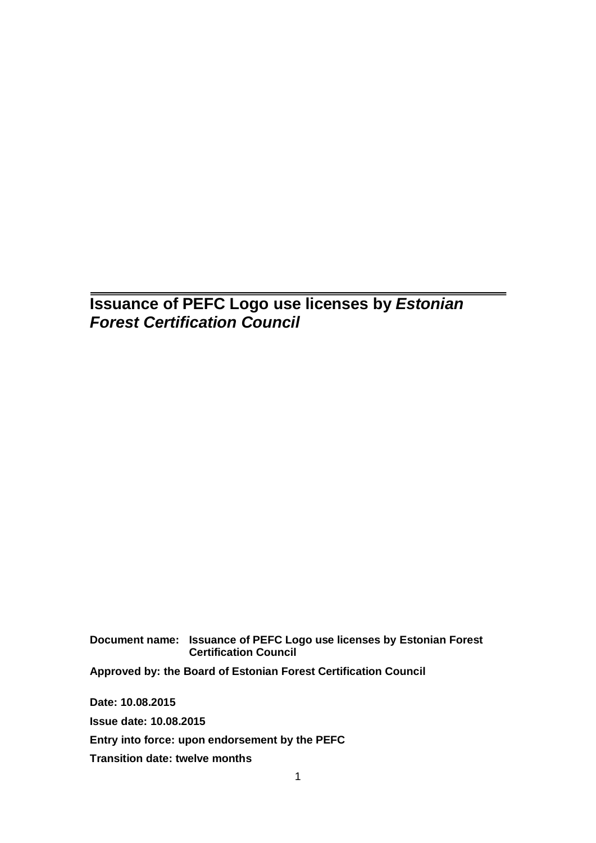## **Issuance of PEFC Logo use licenses by** *Estonian Forest Certification Council*

**Document name: Issuance of PEFC Logo use licenses by Estonian Forest Certification Council Approved by: the Board of Estonian Forest Certification Council Date: 10.08.2015 Issue date: 10.08.2015 Entry into force: upon endorsement by the PEFC**

**Transition date: twelve months**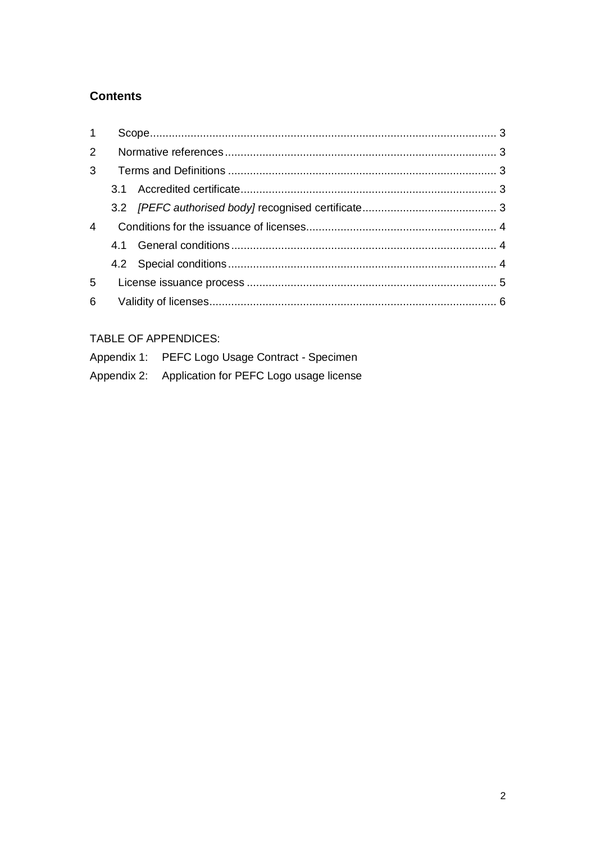### **Contents**

| 1              |  |  |
|----------------|--|--|
|                |  |  |
|                |  |  |
|                |  |  |
|                |  |  |
| $\overline{4}$ |  |  |
|                |  |  |
|                |  |  |
| 5              |  |  |
| 6              |  |  |

### TABLE OF APPENDICES:

| Appendix 1: PEFC Logo Usage Contract - Specimen     |
|-----------------------------------------------------|
| Appendix 2: Application for PEFC Logo usage license |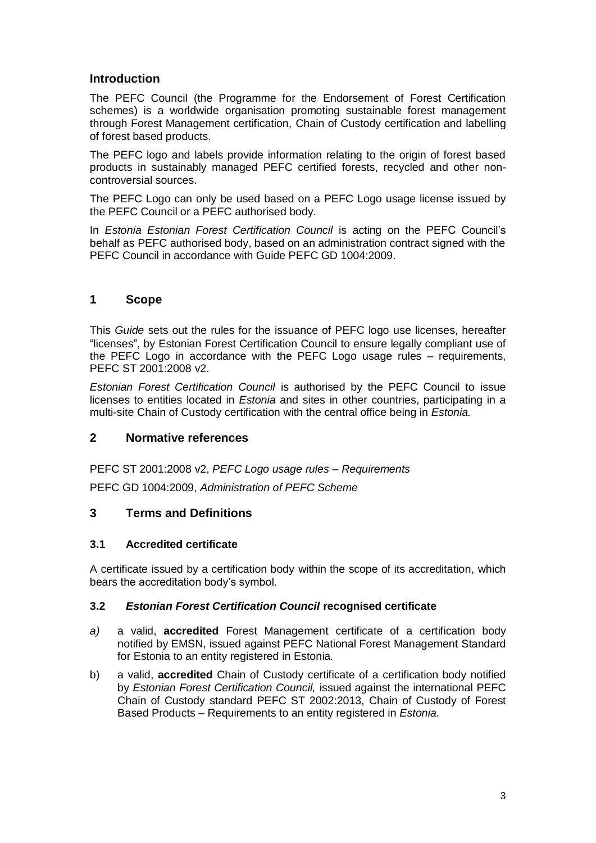#### **Introduction**

The PEFC Council (the Programme for the Endorsement of Forest Certification schemes) is a worldwide organisation promoting sustainable forest management through Forest Management certification, Chain of Custody certification and labelling of forest based products.

The PEFC logo and labels provide information relating to the origin of forest based products in sustainably managed PEFC certified forests, recycled and other noncontroversial sources.

The PEFC Logo can only be used based on a PEFC Logo usage license issued by the PEFC Council or a PEFC authorised body.

In *Estonia Estonian Forest Certification Council* is acting on the PEFC Council's behalf as PEFC authorised body, based on an administration contract signed with the PEFC Council in accordance with Guide PEFC GD 1004:2009.

#### <span id="page-2-0"></span>**1 Scope**

This *Guide* sets out the rules for the issuance of PEFC logo use licenses, hereafter "licenses", by Estonian Forest Certification Council to ensure legally compliant use of the PEFC Logo in accordance with the PEFC Logo usage rules – requirements, PEFC ST 2001:2008 v2.

*Estonian Forest Certification Council* is authorised by the PEFC Council to issue licenses to entities located in *Estonia* and sites in other countries, participating in a multi-site Chain of Custody certification with the central office being in *Estonia.*

#### <span id="page-2-1"></span>**2 Normative references**

PEFC ST 2001:2008 v2, *PEFC Logo usage rules – Requirements*

PEFC GD 1004:2009, *Administration of PEFC Scheme*

#### <span id="page-2-2"></span>**3 Terms and Definitions**

#### <span id="page-2-3"></span>**3.1 Accredited certificate**

A certificate issued by a certification body within the scope of its accreditation, which bears the accreditation body's symbol.

#### <span id="page-2-4"></span>**3.2** *Estonian Forest Certification Council* **recognised certificate**

- *a)* a valid, **accredited** Forest Management certificate of a certification body notified by EMSN, issued against PEFC National Forest Management Standard for Estonia to an entity registered in Estonia*.*
- b) a valid, **accredited** Chain of Custody certificate of a certification body notified by *Estonian Forest Certification Council,* issued against the international PEFC Chain of Custody standard PEFC ST 2002:2013, Chain of Custody of Forest Based Products – Requirements to an entity registered in *Estonia.*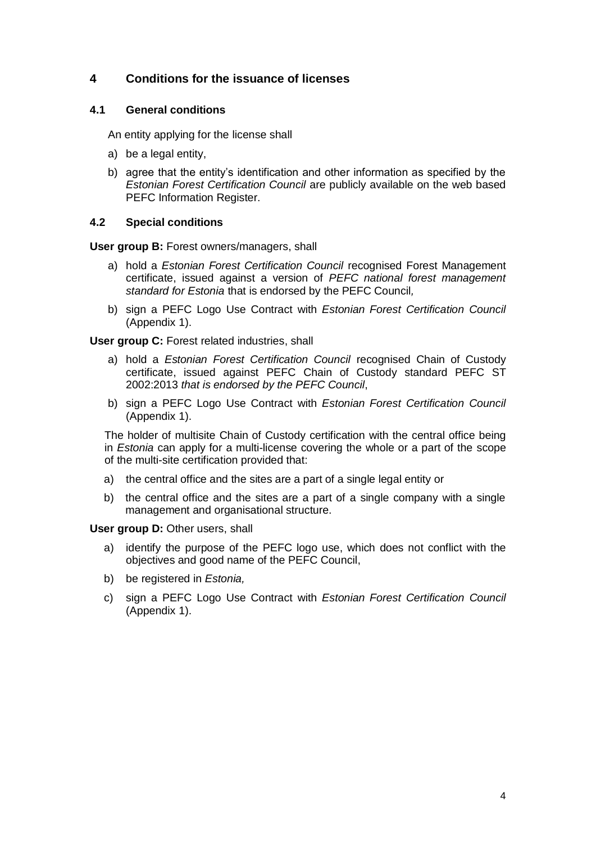#### <span id="page-3-0"></span>**4 Conditions for the issuance of licenses**

#### <span id="page-3-1"></span>**4.1 General conditions**

An entity applying for the license shall

- a) be a legal entity,
- b) agree that the entity's identification and other information as specified by the *Estonian Forest Certification Council* are publicly available on the web based PEFC Information Register.

#### <span id="page-3-2"></span>**4.2 Special conditions**

**User group B:** Forest owners/managers, shall

- a) hold a *Estonian Forest Certification Council* recognised Forest Management certificate, issued against a version of *PEFC national forest management standard for Estonia* that is endorsed by the PEFC Council*,*
- b) sign a PEFC Logo Use Contract with *Estonian Forest Certification Council* (Appendix 1).

**User group C:** Forest related industries, shall

- a) hold a *Estonian Forest Certification Council* recognised Chain of Custody certificate, issued against PEFC Chain of Custody standard PEFC ST 2002:2013 *that is endorsed by the PEFC Council*,
- b) sign a PEFC Logo Use Contract with *Estonian Forest Certification Council* (Appendix 1).

The holder of multisite Chain of Custody certification with the central office being in *Estonia* can apply for a multi-license covering the whole or a part of the scope of the multi-site certification provided that:

- a) the central office and the sites are a part of a single legal entity or
- b) the central office and the sites are a part of a single company with a single management and organisational structure.

**User group D:** Other users, shall

- a) identify the purpose of the PEFC logo use, which does not conflict with the objectives and good name of the PEFC Council,
- b) be registered in *Estonia,*
- c) sign a PEFC Logo Use Contract with *Estonian Forest Certification Council* (Appendix 1).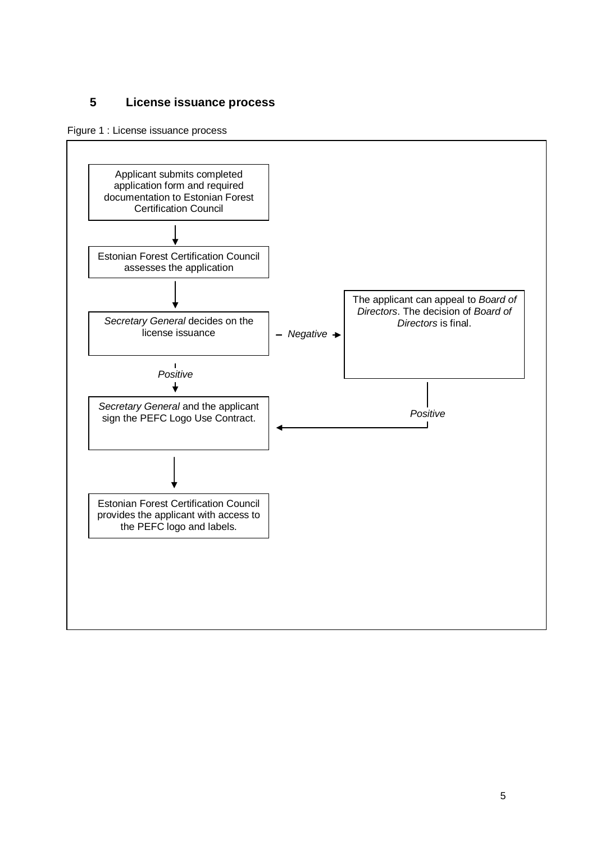#### <span id="page-4-0"></span>**5 License issuance process**

Figure 1 : License issuance process

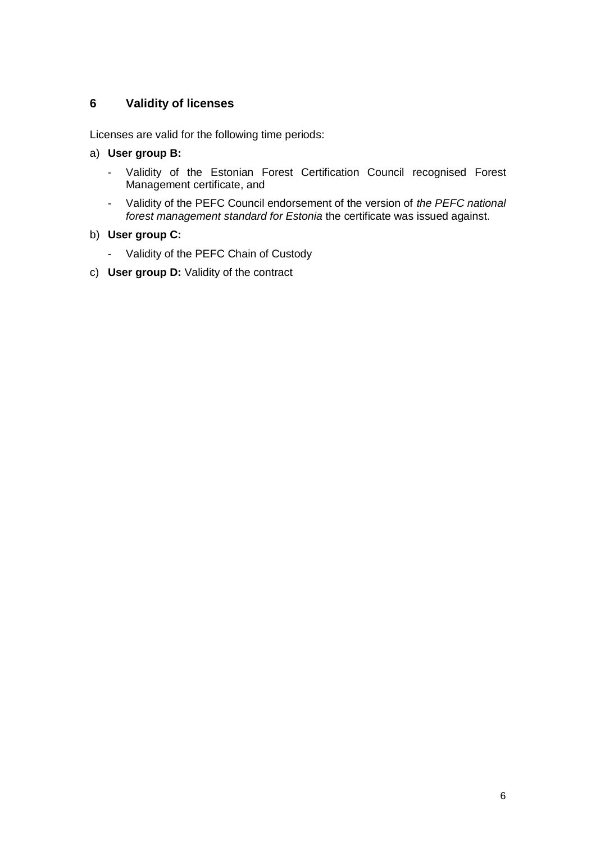#### <span id="page-5-0"></span>**6 Validity of licenses**

Licenses are valid for the following time periods:

- a) **User group B:**
	- Validity of the Estonian Forest Certification Council recognised Forest Management certificate, and
	- Validity of the PEFC Council endorsement of the version of *the PEFC national forest management standard for Estonia* the certificate was issued against.

#### b) **User group C:**

- Validity of the PEFC Chain of Custody
- c) **User group D:** Validity of the contract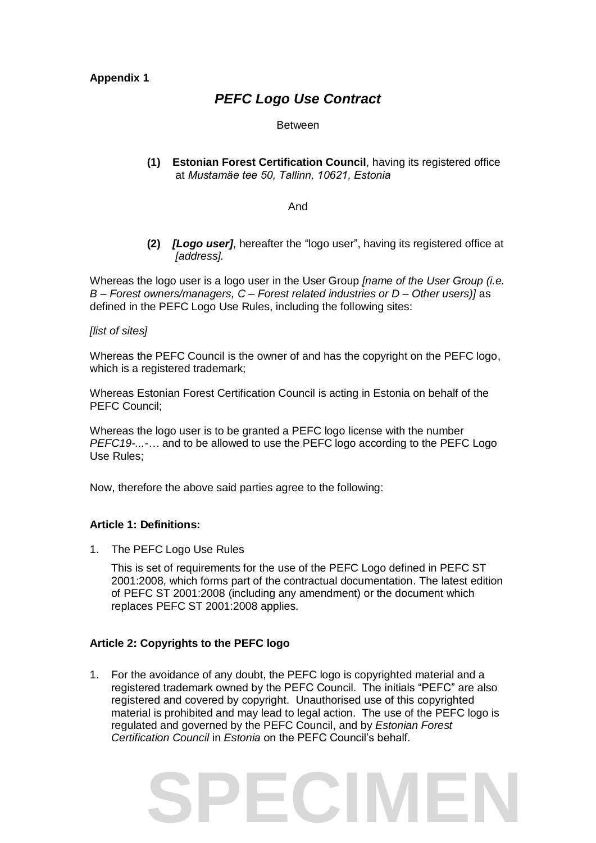**Appendix 1**

### *PEFC Logo Use Contract*

Between

**(1) Estonian Forest Certification Council**, having its registered office at *Mustamäe tee 50, Tallinn, 10621, Estonia*

#### And

**(2)** *[Logo user]*, hereafter the "logo user", having its registered office at *[address].*

Whereas the logo user is a logo user in the User Group *[name of the User Group (i.e. B – Forest owners/managers, C – Forest related industries or D – Other users)]* as defined in the PEFC Logo Use Rules, including the following sites:

#### *[list of sites]*

Whereas the PEFC Council is the owner of and has the copyright on the PEFC logo, which is a registered trademark;

Whereas Estonian Forest Certification Council is acting in Estonia on behalf of the PEFC Council;

Whereas the logo user is to be granted a PEFC logo license with the number *PEFC19-...-…* and to be allowed to use the PEFC logo according to the PEFC Logo Use Rules;

Now, therefore the above said parties agree to the following:

#### **Article 1: Definitions:**

1. The PEFC Logo Use Rules

This is set of requirements for the use of the PEFC Logo defined in PEFC ST 2001:2008, which forms part of the contractual documentation. The latest edition of PEFC ST 2001:2008 (including any amendment) or the document which replaces PEFC ST 2001:2008 applies.

#### **Article 2: Copyrights to the PEFC logo**

1. For the avoidance of any doubt, the PEFC logo is copyrighted material and a registered trademark owned by the PEFC Council. The initials "PEFC" are also registered and covered by copyright. Unauthorised use of this copyrighted material is prohibited and may lead to legal action. The use of the PEFC logo is regulated and governed by the PEFC Council, and by *Estonian Forest Certification Council* in *Estonia* on the PEFC Council's behalf*.*

## **ECIME**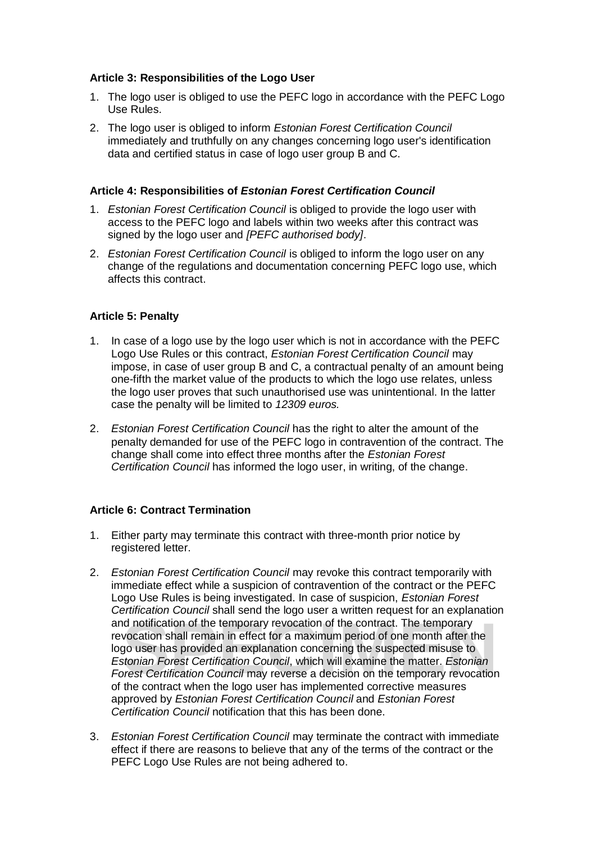#### **Article 3: Responsibilities of the Logo User**

- 1. The logo user is obliged to use the PEFC logo in accordance with the PEFC Logo Use Rules.
- 2. The logo user is obliged to inform *Estonian Forest Certification Council*  immediately and truthfully on any changes concerning logo user's identification data and certified status in case of logo user group B and C.

#### **Article 4: Responsibilities of** *Estonian Forest Certification Council*

- 1. *Estonian Forest Certification Council* is obliged to provide the logo user with access to the PEFC logo and labels within two weeks after this contract was signed by the logo user and *[PEFC authorised body]*.
- 2. *Estonian Forest Certification Council* is obliged to inform the logo user on any change of the regulations and documentation concerning PEFC logo use, which affects this contract.

#### **Article 5: Penalty**

- 1. In case of a logo use by the logo user which is not in accordance with the PEFC Logo Use Rules or this contract, *Estonian Forest Certification Council* may impose, in case of user group B and C, a contractual penalty of an amount being one-fifth the market value of the products to which the logo use relates, unless the logo user proves that such unauthorised use was unintentional. In the latter case the penalty will be limited to *12309 euros.*
- 2. *Estonian Forest Certification Council* has the right to alter the amount of the penalty demanded for use of the PEFC logo in contravention of the contract. The change shall come into effect three months after the *Estonian Forest Certification Council* has informed the logo user, in writing, of the change.

#### **Article 6: Contract Termination**

- 1. Either party may terminate this contract with three-month prior notice by registered letter.
- and notification of the temporary revocation of the contract. The temporary<br>revocation shall remain in effect for a maximum period of one month after the<br>logo user has provided an explanation concerning the suspected misus 2. *Estonian Forest Certification Council* may revoke this contract temporarily with immediate effect while a suspicion of contravention of the contract or the PEFC Logo Use Rules is being investigated. In case of suspicion, *Estonian Forest Certification Council* shall send the logo user a written request for an explanation and notification of the temporary revocation of the contract. The temporary revocation shall remain in effect for a maximum period of one month after the logo user has provided an explanation concerning the suspected misuse to *Estonian Forest Certification Council*, which will examine the matter. *Estonian*  of the contract when the logo user has implemented corrective measures approved by *Estonian Forest Certification Council* and *Estonian Forest Certification Council* notification that this has been done.
- 3. *Estonian Forest Certification Council* may terminate the contract with immediate effect if there are reasons to believe that any of the terms of the contract or the PEFC Logo Use Rules are not being adhered to.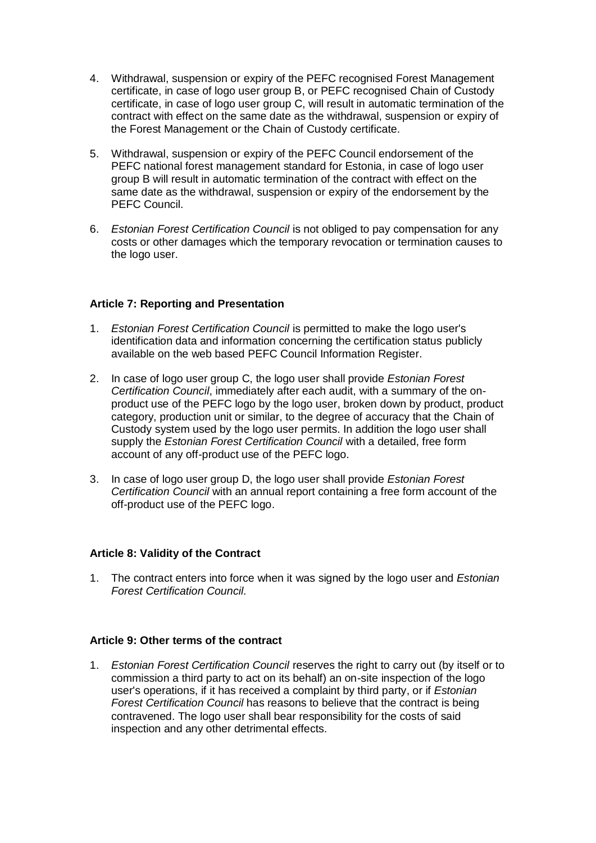- 4. Withdrawal, suspension or expiry of the PEFC recognised Forest Management certificate, in case of logo user group B, or PEFC recognised Chain of Custody certificate, in case of logo user group C, will result in automatic termination of the contract with effect on the same date as the withdrawal, suspension or expiry of the Forest Management or the Chain of Custody certificate.
- 5. Withdrawal, suspension or expiry of the PEFC Council endorsement of the PEFC national forest management standard for Estonia, in case of logo user group B will result in automatic termination of the contract with effect on the same date as the withdrawal, suspension or expiry of the endorsement by the PEFC Council.
- 6. *Estonian Forest Certification Council* is not obliged to pay compensation for any costs or other damages which the temporary revocation or termination causes to the logo user.

#### **Article 7: Reporting and Presentation**

- 1. *Estonian Forest Certification Council* is permitted to make the logo user's identification data and information concerning the certification status publicly available on the web based PEFC Council Information Register.
- 2. In case of logo user group C, the logo user shall provide *Estonian Forest Certification Council*, immediately after each audit, with a summary of the onproduct use of the PEFC logo by the logo user, broken down by product, product category, production unit or similar, to the degree of accuracy that the Chain of Custody system used by the logo user permits. In addition the logo user shall supply the *Estonian Forest Certification Council* with a detailed, free form account of any off-product use of the PEFC logo.
- 3. In case of logo user group D, the logo user shall provide *Estonian Forest Certification Council* with an annual report containing a free form account of the off-product use of the PEFC logo.

#### **Article 8: Validity of the Contract**

1. The contract enters into force when it was signed by the logo user and *Estonian Forest Certification Council.* 

#### **Article 9: Other terms of the contract**

1. *Estonian Forest Certification Council* reserves the right to carry out (by itself or to commission a third party to act on its behalf) an on-site inspection of the logo user's operations, if it has received a complaint by third party, or if *Estonian Forest Certification Council* has reasons to believe that the contract is being contravened. The logo user shall bear responsibility for the costs of said inspection and any other detrimental effects.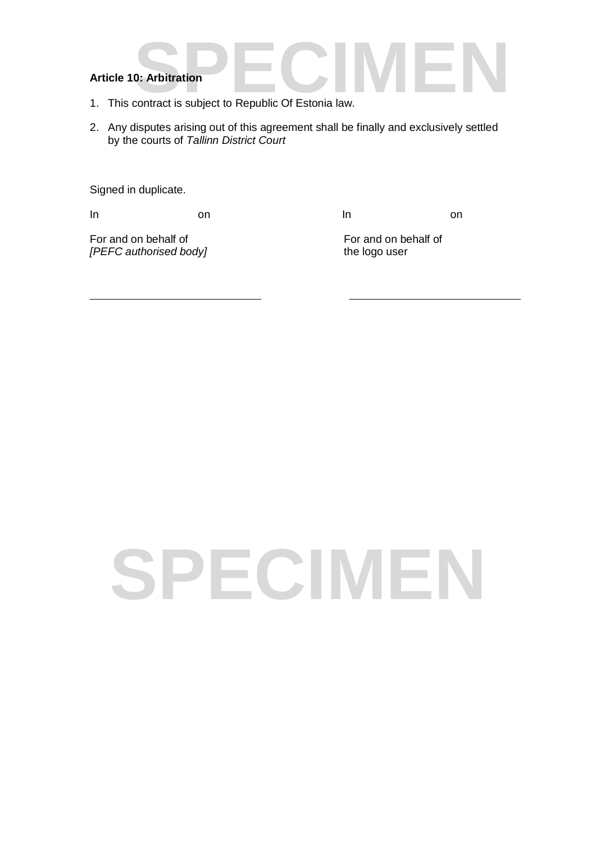- **Article 10: Arbitration**<br>1. This contract is subject to Republic Of Estonia law. 1. This contract is subject to Republic Of Estonia law.
- 2. Any disputes arising out of this agreement shall be finally and exclusively settled by the courts of *Tallinn District Court*

Signed in duplicate.

In a contract on the line on  $\ln$  on  $\ln$ 

For and on behalf of For and on behalf of For and on behalf of For and on behalf of Format on behalf of  $IPEFC$  authorised body and Format on the logo user *[PEFC authorised body]* 

# **PECIME**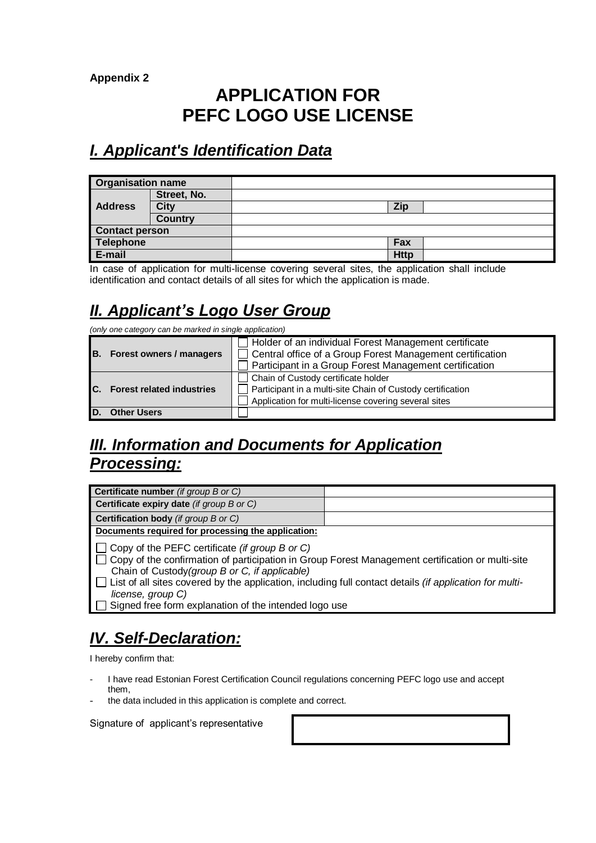**Appendix 2**

## **APPLICATION FOR PEFC LOGO USE LICENSE**

## *I. Applicant's Identification Data*

| <b>Organisation name</b> |                |             |  |
|--------------------------|----------------|-------------|--|
|                          | Street, No.    |             |  |
| <b>Address</b>           | City           | Zip         |  |
|                          | <b>Country</b> |             |  |
| <b>Contact person</b>    |                |             |  |
| <b>Telephone</b>         |                | Fax         |  |
| E-mail                   |                | <b>Http</b> |  |

In case of application for multi-license covering several sites, the application shall include identification and contact details of all sites for which the application is made.

## *II. Applicant's Logo User Group*

*(only one category can be marked in single application)*

|                              |                                 | Holder of an individual Forest Management certificate       |
|------------------------------|---------------------------------|-------------------------------------------------------------|
| IB.                          | <b>Forest owners / managers</b> | □ Central office of a Group Forest Management certification |
|                              |                                 | Participant in a Group Forest Management certification      |
|                              |                                 | Chain of Custody certificate holder                         |
| C. Forest related industries |                                 | Participant in a multi-site Chain of Custody certification  |
|                              |                                 | Application for multi-license covering several sites        |
|                              | <b>Other Users</b>              |                                                             |

## *III. Information and Documents for Application Processing:*

| Certificate number (if group B or C)                                                                                                                                                                                                                                                                                                                                                                                 |  |  |  |
|----------------------------------------------------------------------------------------------------------------------------------------------------------------------------------------------------------------------------------------------------------------------------------------------------------------------------------------------------------------------------------------------------------------------|--|--|--|
| Certificate expiry date (if group B or C)                                                                                                                                                                                                                                                                                                                                                                            |  |  |  |
| <b>Certification body</b> (if group B or C)                                                                                                                                                                                                                                                                                                                                                                          |  |  |  |
| Documents required for processing the application:                                                                                                                                                                                                                                                                                                                                                                   |  |  |  |
| $\Box$ Copy of the PEFC certificate (if group B or C)<br>□ Copy of the confirmation of participation in Group Forest Management certification or multi-site<br>Chain of Custody (group B or C, if applicable)<br>$\Box$ List of all sites covered by the application, including full contact details <i>(if application for multi-</i><br>license, group C)<br>Signed free form explanation of the intended logo use |  |  |  |

## *IV. Self-Declaration:*

I hereby confirm that:

- I have read Estonian Forest Certification Council regulations concerning PEFC logo use and accept them,
- the data included in this application is complete and correct.

Signature of applicant's representative